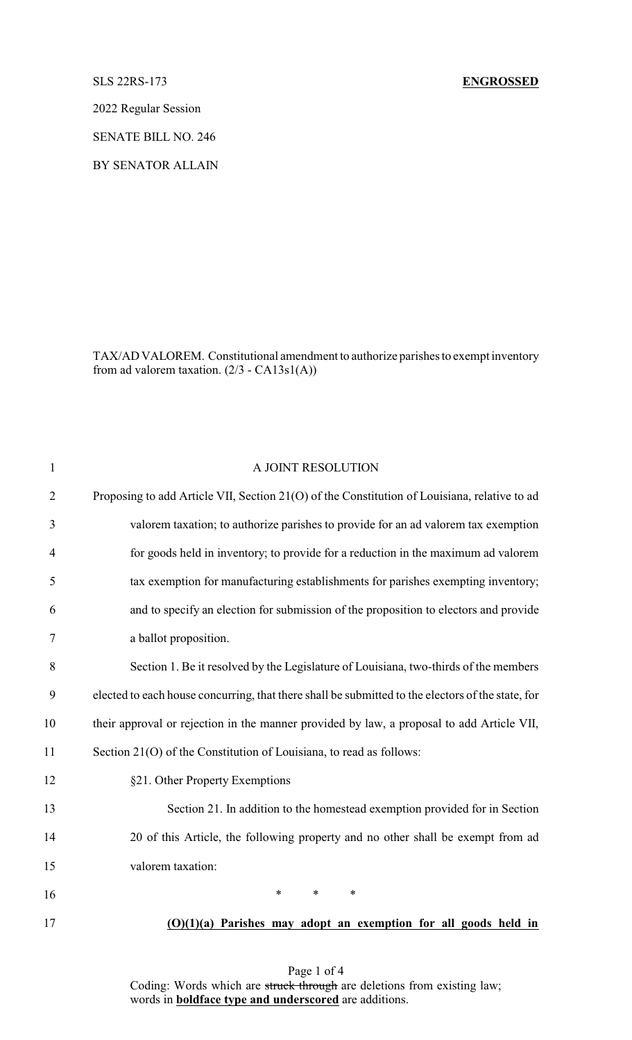## SLS 22RS-173 **ENGROSSED**

2022 Regular Session

SENATE BILL NO. 246

BY SENATOR ALLAIN

TAX/AD VALOREM. Constitutional amendment to authorize parishes to exempt inventory from ad valorem taxation.  $(2/3 - CA13s1(A))$ 

| $\mathbf{1}$   | A JOINT RESOLUTION                                                                                |
|----------------|---------------------------------------------------------------------------------------------------|
| $\overline{2}$ | Proposing to add Article VII, Section 21(O) of the Constitution of Louisiana, relative to ad      |
| 3              | valorem taxation; to authorize parishes to provide for an ad valorem tax exemption                |
| $\overline{4}$ | for goods held in inventory; to provide for a reduction in the maximum ad valorem                 |
| 5              | tax exemption for manufacturing establishments for parishes exempting inventory;                  |
| 6              | and to specify an election for submission of the proposition to electors and provide              |
| 7              | a ballot proposition.                                                                             |
| 8              | Section 1. Be it resolved by the Legislature of Louisiana, two-thirds of the members              |
| 9              | elected to each house concurring, that there shall be submitted to the electors of the state, for |
| 10             | their approval or rejection in the manner provided by law, a proposal to add Article VII,         |
| 11             | Section 21(O) of the Constitution of Louisiana, to read as follows:                               |
| 12             | §21. Other Property Exemptions                                                                    |
| 13             | Section 21. In addition to the homestead exemption provided for in Section                        |
| 14             | 20 of this Article, the following property and no other shall be exempt from ad                   |
| 15             | valorem taxation:                                                                                 |
| 16             | *<br>$\ast$<br>*                                                                                  |
| 17             | $(O)(1)(a)$ Parishes may adopt an exemption for all goods held in                                 |

Page 1 of 4 Coding: Words which are struck through are deletions from existing law; words in **boldface type and underscored** are additions.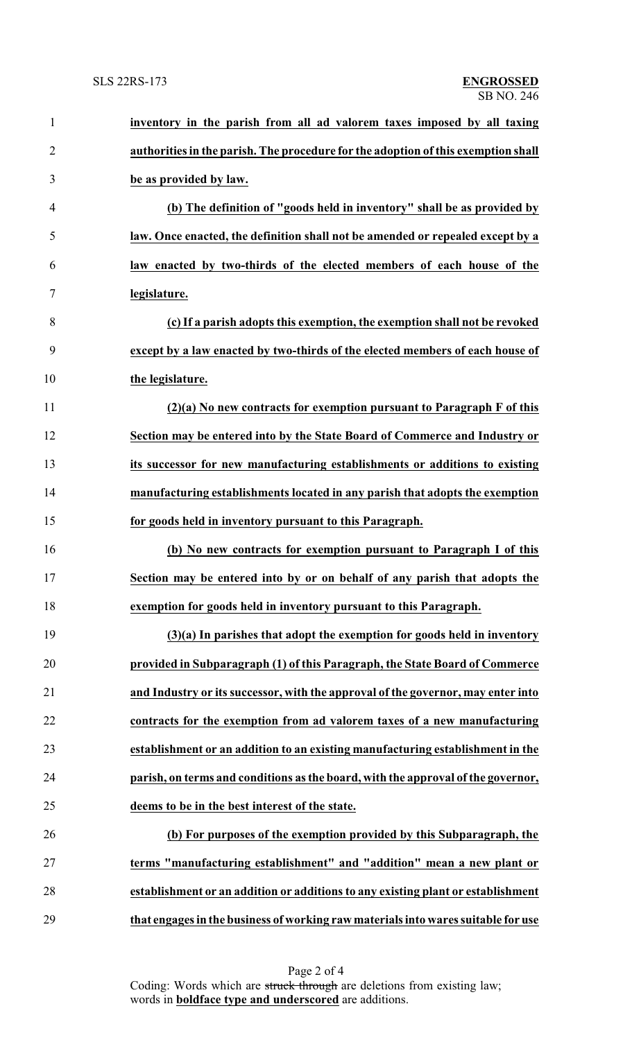| $\mathbf{1}$   | inventory in the parish from all ad valorem taxes imposed by all taxing           |
|----------------|-----------------------------------------------------------------------------------|
| $\overline{2}$ | authorities in the parish. The procedure for the adoption of this exemption shall |
| 3              | be as provided by law.                                                            |
| 4              | (b) The definition of "goods held in inventory" shall be as provided by           |
| 5              | law. Once enacted, the definition shall not be amended or repealed except by a    |
| 6              | law enacted by two-thirds of the elected members of each house of the             |
| 7              | legislature.                                                                      |
| 8              | (c) If a parish adopts this exemption, the exemption shall not be revoked         |
| 9              | except by a law enacted by two-thirds of the elected members of each house of     |
| 10             | the legislature.                                                                  |
| 11             | $(2)(a)$ No new contracts for exemption pursuant to Paragraph F of this           |
| 12             | Section may be entered into by the State Board of Commerce and Industry or        |
| 13             | its successor for new manufacturing establishments or additions to existing       |
| 14             | manufacturing establishments located in any parish that adopts the exemption      |
| 15             | for goods held in inventory pursuant to this Paragraph.                           |
| 16             | (b) No new contracts for exemption pursuant to Paragraph I of this                |
| 17             | Section may be entered into by or on behalf of any parish that adopts the         |
| 18             | exemption for goods held in inventory pursuant to this Paragraph.                 |
| 19             | $(3)(a)$ In parishes that adopt the exemption for goods held in inventory         |
| 20             | provided in Subparagraph (1) of this Paragraph, the State Board of Commerce       |
| 21             | and Industry or its successor, with the approval of the governor, may enter into  |
| 22             | contracts for the exemption from ad valorem taxes of a new manufacturing          |
| 23             | establishment or an addition to an existing manufacturing establishment in the    |
| 24             | parish, on terms and conditions as the board, with the approval of the governor,  |
| 25             | deems to be in the best interest of the state.                                    |
| 26             | (b) For purposes of the exemption provided by this Subparagraph, the              |
| 27             | terms "manufacturing establishment" and "addition" mean a new plant or            |
| 28             | establishment or an addition or additions to any existing plant or establishment  |
| 29             | that engages in the business of working raw materials into wares suitable for use |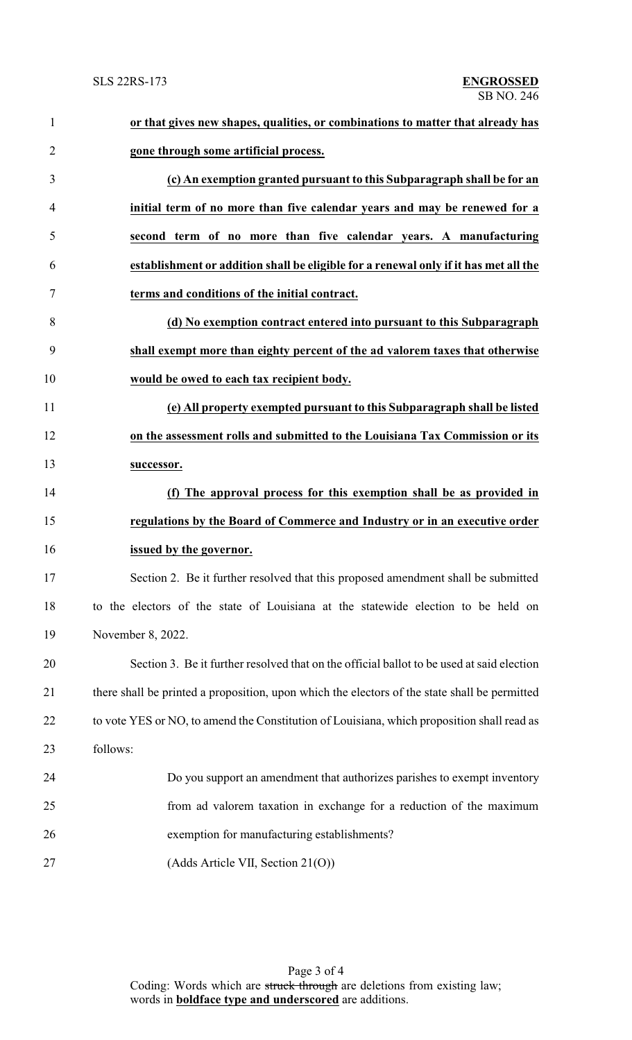| $\mathbf{1}$   | or that gives new shapes, qualities, or combinations to matter that already has               |
|----------------|-----------------------------------------------------------------------------------------------|
| $\overline{2}$ | gone through some artificial process.                                                         |
| 3              | (c) An exemption granted pursuant to this Subparagraph shall be for an                        |
| $\overline{4}$ | initial term of no more than five calendar years and may be renewed for a                     |
| 5              | second term of no more than five calendar years. A manufacturing                              |
| 6              | establishment or addition shall be eligible for a renewal only if it has met all the          |
| 7              | terms and conditions of the initial contract.                                                 |
| 8              | (d) No exemption contract entered into pursuant to this Subparagraph                          |
| 9              | shall exempt more than eighty percent of the ad valorem taxes that otherwise                  |
| 10             | would be owed to each tax recipient body.                                                     |
| 11             | (e) All property exempted pursuant to this Subparagraph shall be listed                       |
| 12             | on the assessment rolls and submitted to the Louisiana Tax Commission or its                  |
| 13             | successor.                                                                                    |
| 14             | (f) The approval process for this exemption shall be as provided in                           |
| 15             | regulations by the Board of Commerce and Industry or in an executive order                    |
| 16             | issued by the governor.                                                                       |
| 17             | Section 2. Be it further resolved that this proposed amendment shall be submitted             |
| 18             | to the electors of the state of Louisiana at the statewide election to be held on             |
| 19             | November 8, 2022.                                                                             |
| 20             | Section 3. Be it further resolved that on the official ballot to be used at said election     |
| 21             | there shall be printed a proposition, upon which the electors of the state shall be permitted |
| 22             | to vote YES or NO, to amend the Constitution of Louisiana, which proposition shall read as    |
| 23             | follows:                                                                                      |
| 24             | Do you support an amendment that authorizes parishes to exempt inventory                      |
| 25             | from ad valorem taxation in exchange for a reduction of the maximum                           |
| 26             | exemption for manufacturing establishments?                                                   |
| 27             | (Adds Article VII, Section 21(O))                                                             |